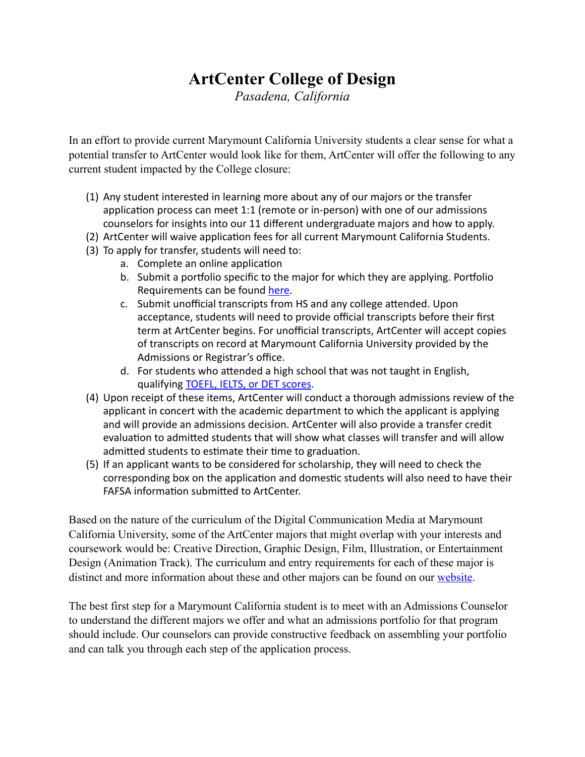## **ArtCenter College of Design**

*Pasadena, California*

In an effort to provide current Marymount California University students a clear sense for what a potential transfer to ArtCenter would look like for them, ArtCenter will offer the following to any current student impacted by the College closure:

- (1) Any student interested in learning more about any of our majors or the transfer application process can meet 1:1 (remote or in-person) with one of our admissions counselors for insights into our 11 different undergraduate majors and how to apply.
- (2) ArtCenter will waive application fees for all current Marymount California Students.
- (3) To apply for transfer, students will need to:
	- a. Complete an online application
	- b. Submit a portfolio specific to the major for which they are applying. Portfolio Requirements can be found [here](https://nam02.safelinks.protection.outlook.com/?url=https://www.artcenter.edu/admissions/undergraduate-admissions/portfolio-requirements/requirements-by-major.html&data=05%257C01%257CRJones@marymountcalifornia.edu%257Cfa9c45d2e4144ac2536208da2fb7aa65%257C78ce7191e7c7459297efd8d1768cd1d5%257C0%257C1%257C637874763166090498%257CUnknown%257CTWFpbGZsb3d8eyJWIjoiMC4wLjAwMDAiLCJQIjoiV2luMzIiLCJBTiI6Ik1haWwiLCJXVCI6Mn0=%257C1000%257C%257C%257C&sdata=fQHpR3lNl38+wXR6iUkhODNmJyZA52Op5jnE2llRbkA=&reserved=0).
	- c. Submit unofficial transcripts from HS and any college attended. Upon acceptance, students will need to provide official transcripts before their first term at ArtCenter begins. For unofficial transcripts, ArtCenter will accept copies of transcripts on record at Marymount California University provided by the Admissions or Registrar's office.
	- d. For students who attended a high school that was not taught in English, qualifying TOEFL, IELTS, or DET scores.
- (4) Upon receipt of these items, ArtCenter will conduct a thorough admissions review of the applicant in concert with the academic department to which the applicant is applying and will provide an admissions decision. ArtCenter will also provide a transfer credit evaluation to admitted students that will show what classes will transfer and will allow admitted students to estimate their time to graduation.
- (5) If an applicant wants to be considered for scholarship, they will need to check the corresponding box on the application and domestic students will also need to have their FAFSA information submitted to ArtCenter.

Based on the nature of the curriculum of the Digital Communication Media at Marymount California University, some of the ArtCenter majors that might overlap with your interests and coursework would be: Creative Direction, Graphic Design, Film, Illustration, or Entertainment Design (Animation Track). The curriculum and entry requirements for each of these major is distinct and more information about these and other majors can be found on our [website.](https://nam02.safelinks.protection.outlook.com/?url=https://www.artcenter.edu/academics/undergraduate-degrees/overview.html&data=05%257C01%257CRJones@marymountcalifornia.edu%257Cfa9c45d2e4144ac2536208da2fb7aa65%257C78ce7191e7c7459297efd8d1768cd1d5%257C0%257C1%257C637874763166090498%257CUnknown%257CTWFpbGZsb3d8eyJWIjoiMC4wLjAwMDAiLCJQIjoiV2luMzIiLCJBTiI6Ik1haWwiLCJXVCI6Mn0=%257C1000%257C%257C%257C&sdata=OEc/lh5l9AhbBKCwDoAEOsvo4+E+VljbKu4TimeVcwg=&reserved=0)

The best first step for a Marymount California student is to meet with an Admissions Counselor to understand the different majors we offer and what an admissions portfolio for that program should include. Our counselors can provide constructive feedback on assembling your portfolio and can talk you through each step of the application process.